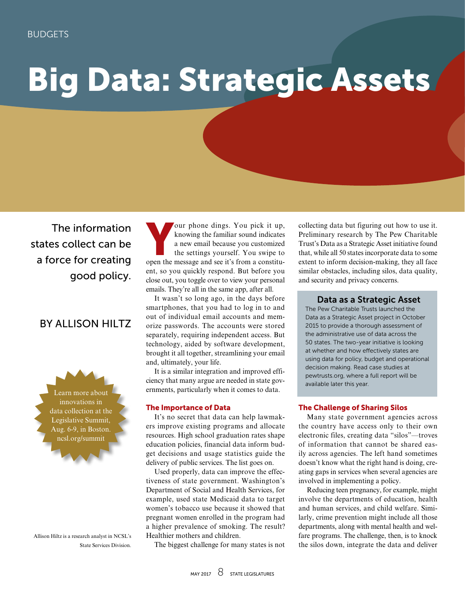# Big Data: Strategic Assets

The information states collect can be a force for creating good policy.

# BY ALLISON HILTZ

Learn more about innovations in data collection at the Legislative Summit, Aug. 6-9, in Boston. ncsl.org/summit

Allison Hiltz is a research analyst in NCSL's State Services Division.

Four phone dings. You pick it up,<br>knowing the familiar sound indicates<br>a new email because you customized<br>the settings yourself. You swipe to<br>onen the message and see it's from a constituknowing the familiar sound indicates a new email because you customized the settings yourself. You swipe to open the message and see it's from a constituent, so you quickly respond. But before you close out, you toggle over to view your personal emails. They're all in the same app, after all.

It wasn't so long ago, in the days before smartphones, that you had to log in to and out of individual email accounts and memorize passwords. The accounts were stored separately, requiring independent access. But technology, aided by software development, brought it all together, streamlining your email and, ultimately, your life.

It is a similar integration and improved efficiency that many argue are needed in state governments, particularly when it comes to data.

# The Importance of Data

It's no secret that data can help lawmakers improve existing programs and allocate resources. High school graduation rates shape education policies, financial data inform budget decisions and usage statistics guide the delivery of public services. The list goes on.

Used properly, data can improve the effectiveness of state government. Washington's Department of Social and Health Services, for example, used state Medicaid data to target women's tobacco use because it showed that pregnant women enrolled in the program had a higher prevalence of smoking. The result? Healthier mothers and children.

The biggest challenge for many states is not

collecting data but figuring out how to use it. Preliminary research by The Pew Charitable Trust's Data as a Strategic Asset initiative found that, while all 50 states incorporate data to some extent to inform decision-making, they all face similar obstacles, including silos, data quality, and security and privacy concerns.

# Data as a Strategic Asset

The Pew Charitable Trusts launched the Data as a Strategic Asset project in October 2015 to provide a thorough assessment of the administrative use of data across the 50 states. The two-year initiative is looking at whether and how effectively states are using data for policy, budget and operational decision making. Read case studies at pewtrusts.org, where a full report will be available later this year.

# The Challenge of Sharing Silos

Many state government agencies across the country have access only to their own electronic files, creating data "silos"—troves of information that cannot be shared easily across agencies. The left hand sometimes doesn't know what the right hand is doing, creating gaps in services when several agencies are involved in implementing a policy.

Reducing teen pregnancy, for example, might involve the departments of education, health and human services, and child welfare. Similarly, crime prevention might include all those departments, along with mental health and welfare programs. The challenge, then, is to knock the silos down, integrate the data and deliver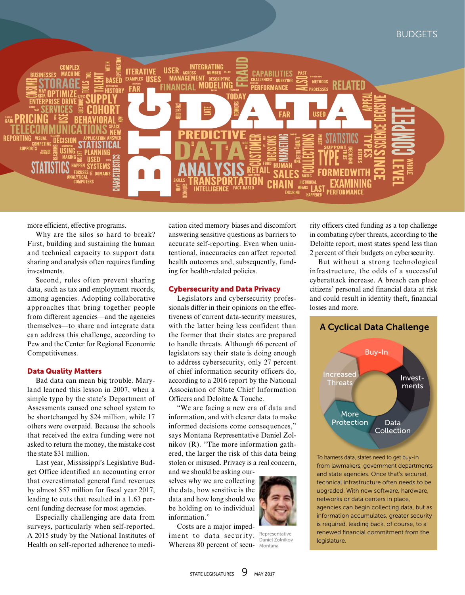

more efficient, effective programs.

Why are the silos so hard to break? First, building and sustaining the human and technical capacity to support data sharing and analysis often requires funding investments.

Second, rules often prevent sharing data, such as tax and employment records, among agencies. Adopting collaborative approaches that bring together people from different agencies—and the agencies themselves—to share and integrate data can address this challenge, according to Pew and the Center for Regional Economic Competitiveness.

# Data Quality Matters

Bad data can mean big trouble. Maryland learned this lesson in 2007, when a simple typo by the state's Department of Assessments caused one school system to be shortchanged by \$24 million, while 17 others were overpaid. Because the schools that received the extra funding were not asked to return the money, the mistake cost the state \$31 million.

Last year, Mississippi's Legislative Budget Office identified an accounting error that overestimated general fund revenues by almost \$57 million for fiscal year 2017, leading to cuts that resulted in a 1.63 percent funding decrease for most agencies.

Especially challenging are data from surveys, particularly when self-reported. A 2015 study by the National Institutes of Health on self-reported adherence to medication cited memory biases and discomfort answering sensitive questions as barriers to accurate self-reporting. Even when unintentional, inaccuracies can affect reported health outcomes and, subsequently, funding for health-related policies.

# Cybersecurity and Data Privacy

Legislators and cybersecurity professionals differ in their opinions on the effectiveness of current data-security measures, with the latter being less confident than the former that their states are prepared to handle threats. Although 66 percent of legislators say their state is doing enough to address cybersecurity, only 27 percent of chief information security officers do, according to a 2016 report by the National Association of State Chief Information Officers and Deloitte & Touche.

"We are facing a new era of data and information, and with clearer data to make informed decisions come consequences," says Montana Representative Daniel Zolnikov (R). "The more information gathered, the larger the risk of this data being stolen or misused. Privacy is a real concern,

and we should be asking ourselves why we are collecting the data, how sensitive is the data and how long should we be holding on to individual information."

Costs are a major impediment to data security. Whereas 80 percent of secu-



Representative Daniel Zolnikov Montana

rity officers cited funding as a top challenge in combating cyber threats, according to the Deloitte report, most states spend less than 2 percent of their budgets on cybersecurity.

But without a strong technological infrastructure, the odds of a successful cyberattack increase. A breach can place citizens' personal and financial data at risk and could result in identity theft, financial losses and more.

# A Cyclical Data Challenge



To harness data, states need to get buy-in from lawmakers, government departments and state agencies. Once that's secured, technical infrastructure often needs to be upgraded. With new software, hardware, networks or data centers in place, agencies can begin collecting data, but as information accumulates, greater security is required, leading back, of course, to a renewed financial commitment from the legislature.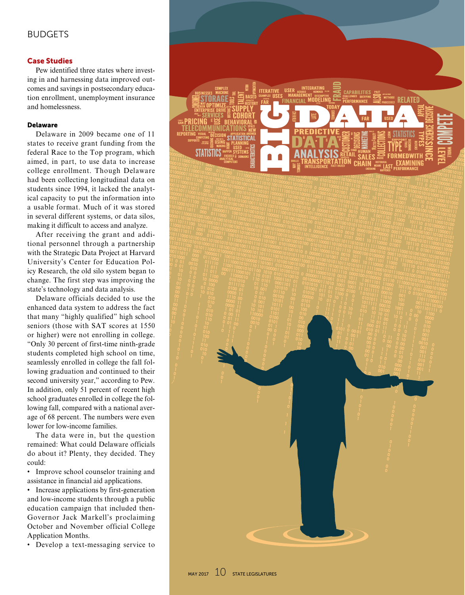# BUDGETS

# Case Studies

Pew identified three states where investing in and harnessing data improved outcomes and savings in postsecondary education enrollment, unemployment insurance and homelessness.

### Delaware

Delaware in 2009 became one of 11 states to receive grant funding from the federal Race to the Top program, which aimed, in part, to use data to increase college enrollment. Though Delaware had been collecting longitudinal data on students since 1994, it lacked the analytical capacity to put the information into a usable format. Much of it was stored in several different systems, or data silos, making it difficult to access and analyze.

After receiving the grant and additional personnel through a partnership with the Strategic Data Project at Harvard University's Center for Education Policy Research, the old silo system began to change. The first step was improving the state's technology and data analysis.

Delaware officials decided to use the enhanced data system to address the fact that many "highly qualified" high school seniors (those with SAT scores at 1550 or higher) were not enrolling in college. "Only 30 percent of first-time ninth-grade students completed high school on time, seamlessly enrolled in college the fall following graduation and continued to their second university year," according to Pew. In addition, only 51 percent of recent high school graduates enrolled in college the following fall, compared with a national average of 68 percent. The numbers were even lower for low-income families.

The data were in, but the question remained: What could Delaware officials do about it? Plenty, they decided. They could:

• Improve school counselor training and assistance in financial aid applications.

• Increase applications by first-generation and low-income students through a public education campaign that included then-Governor Jack Markell's proclaiming October and November official College Application Months.

• Develop a text-messaging service to